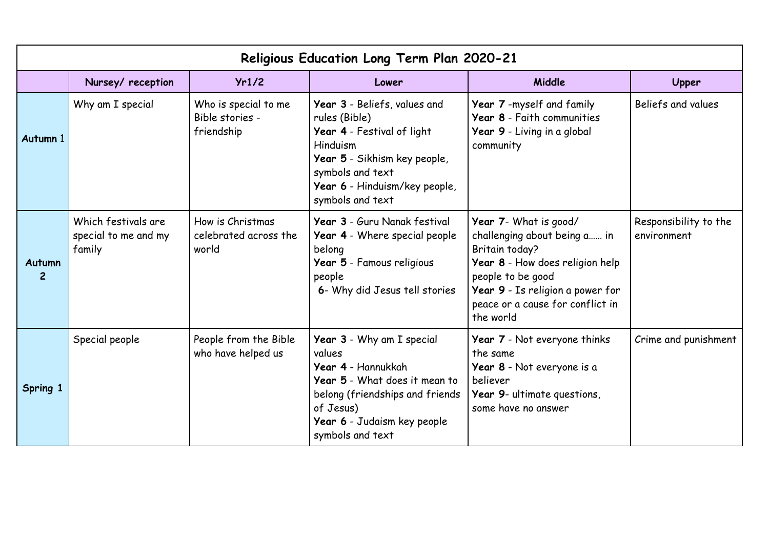| Religious Education Long Term Plan 2020-21 |                                                       |                                                       |                                                                                                                                                                                                  |                                                                                                                                                                                                                             |                                      |  |  |  |  |
|--------------------------------------------|-------------------------------------------------------|-------------------------------------------------------|--------------------------------------------------------------------------------------------------------------------------------------------------------------------------------------------------|-----------------------------------------------------------------------------------------------------------------------------------------------------------------------------------------------------------------------------|--------------------------------------|--|--|--|--|
|                                            | Nursey/ reception                                     | Yr1/2                                                 | Lower                                                                                                                                                                                            | Middle                                                                                                                                                                                                                      | Upper                                |  |  |  |  |
| Autumn 1                                   | Why am I special                                      | Who is special to me<br>Bible stories -<br>friendship | Year 3 - Beliefs, values and<br>rules (Bible)<br>Year 4 - Festival of light<br>Hinduism<br>Year 5 - Sikhism key people,<br>symbols and text<br>Year 6 - Hinduism/key people,<br>symbols and text | Year 7 -myself and family<br>Year 8 - Faith communities<br>Year 9 - Living in a global<br>community                                                                                                                         | Beliefs and values                   |  |  |  |  |
| Autumn<br>$\overline{2}$                   | Which festivals are<br>special to me and my<br>family | How is Christmas<br>celebrated across the<br>world    | Year 3 - Guru Nanak festival<br>Year 4 - Where special people<br>belong<br>Year 5 - Famous religious<br>people<br>6- Why did Jesus tell stories                                                  | Year 7- What is good/<br>challenging about being a in<br><b>Britain today?</b><br>Year 8 - How does religion help<br>people to be good<br>Year 9 - Is religion a power for<br>peace or a cause for conflict in<br>the world | Responsibility to the<br>environment |  |  |  |  |
| Spring 1                                   | Special people                                        | People from the Bible<br>who have helped us           | Year 3 - Why am I special<br>values<br>Year 4 - Hannukkah<br>Year 5 - What does it mean to<br>belong (friendships and friends<br>of Jesus)<br>Year 6 - Judaism key people<br>symbols and text    | Year 7 - Not everyone thinks<br>the same<br>Year 8 - Not everyone is a<br>believer<br>Year 9- ultimate questions,<br>some have no answer                                                                                    | Crime and punishment                 |  |  |  |  |